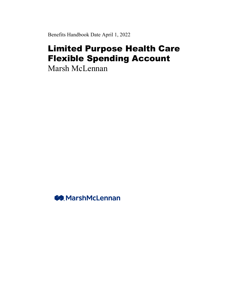Benefits Handbook Date April 1, 2022

# Limited Purpose Health Care Flexible Spending Account

Marsh McLennan

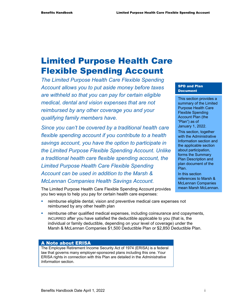# Limited Purpose Health Care Flexible Spending Account

*The Limited Purpose Health Care Flexible Spending Account allows you to put aside money before taxes are withheld so that you can pay for certain eligible medical, dental and vision expenses that are not reimbursed by any other coverage you and your qualifying family members have.* 

*Since you can't be covered by a traditional health care flexible spending account if you contribute to a health savings account, you have the option to participate in the Limited Purpose Flexible Spending Account. Unlike a traditional health care flexible spending account, the Limited Purpose Health Care Flexible Spending Account can be used in addition to the Marsh & McLennan Companies Health Savings Account.* 

The Limited Purpose Health Care Flexible Spending Account provides you two ways to help you pay for certain health care expenses:

#### SPD and Plan Document

This section provides a summary of the Limited Purpose Health Care Flexible Spending Account Plan (the "Plan") as of January 1, 2022.

This section, together with the Administrative Information section and the applicable section about participation, forms the Summary Plan Description and plan document of the Plan.

In this section references to Marsh & McLennan Companies mean Marsh McLennan.

- reimburse eligible dental, vision and preventive medical care expenses not reimbursed by any other health plan
- reimburse other qualified medical expenses, including coinsurance and copayments, INCURRED after you have satisfied the deductible applicable to you (that is, the individual or family deductible, depending on your level of coverage) under the Marsh & McLennan Companies \$1,500 Deductible Plan or \$2,850 Deductible Plan.

#### A Note about ERISA

The Employee Retirement Income Security Act of 1974 (ERISA) is a federal law that governs many employer-sponsored plans including this one. Your ERISA rights in connection with this Plan are detailed in the *Administrative Information* section.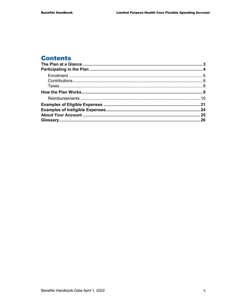# **Contents**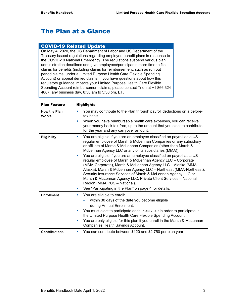# The Plan at a Glance

#### COVID-19 Related Update

On May 4, 2020, the US Department of Labor and US Department of the Treasury issued regulations regarding employee benefit plans in response to the COVID-19 National Emergency. The regulations suspend various plan administration deadlines and give employees/participants more time to file claims for benefits (including claims for reimbursement, such as run out period claims, under a Limited Purpose Health Care Flexible Spending Account) or appeal denied claims. If you have questions about how this regulatory guidance impacts your Limited Purpose Health Care Flexible Spending Account reimbursement claims, please contact Trion at +1 866 324 4087, any business day, 8:30 am to 5:30 pm, ET.

| <b>Plan Feature</b>                 | <b>Highlights</b>                                                                                                                                                                                                                                                                                                                                                                                                                                                                                                                                                                                                                                                                                                                                                                           |  |  |
|-------------------------------------|---------------------------------------------------------------------------------------------------------------------------------------------------------------------------------------------------------------------------------------------------------------------------------------------------------------------------------------------------------------------------------------------------------------------------------------------------------------------------------------------------------------------------------------------------------------------------------------------------------------------------------------------------------------------------------------------------------------------------------------------------------------------------------------------|--|--|
| <b>How the Plan</b><br><b>Works</b> | You may contribute to the Plan through payroll deductions on a before-<br>ш<br>tax basis.                                                                                                                                                                                                                                                                                                                                                                                                                                                                                                                                                                                                                                                                                                   |  |  |
|                                     | When you have reimbursable health care expenses, you can receive<br>your money back tax-free, up to the amount that you elect to contribute<br>for the year and any carryover amount.                                                                                                                                                                                                                                                                                                                                                                                                                                                                                                                                                                                                       |  |  |
| <b>Eligibility</b>                  | You are eligible if you are an employee classified on payroll as a US<br>u.<br>regular employee of Marsh & McLennan Companies or any subsidiary<br>or affiliate of Marsh & McLennan Companies (other than Marsh &<br>McLennan Agency LLC or any of its subsidiaries (MMA)).<br>You are eligible if you are an employee classified on payroll as a US<br>u,<br>regular employee of Marsh & McLennan Agency LLC - Corporate<br>(MMA-Corporate), Marsh & McLennan Agency LLC - Alaska (MMA-<br>Alaska), Marsh & McLennan Agency LLC - Northeast (MMA-Northeast),<br>Security Insurance Services of Marsh & McLennan Agency LLC or<br>Marsh & McLennan Agency LLC, Private Client Services - National<br>Region (MMA PCS - National).<br>See "Participating in the Plan" on page 4 for details. |  |  |
| <b>Enrollment</b>                   | You are eligible to enroll:<br>ш<br>within 30 days of the date you become eligible<br>during Annual Enrollment.<br>You must elect to participate each PLAN YEAR in order to participate in<br>u,<br>the Limited Purpose Health Care Flexible Spending Account.<br>You are only eligible for this plan if you enroll in the Marsh & McLennan<br>ш<br>Companies Health Savings Account.                                                                                                                                                                                                                                                                                                                                                                                                       |  |  |
| <b>Contributions</b>                | You can contribute between \$120 and \$2,750 per plan year.<br>ш                                                                                                                                                                                                                                                                                                                                                                                                                                                                                                                                                                                                                                                                                                                            |  |  |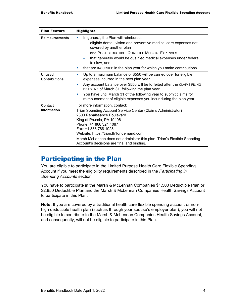| <b>Plan Feature</b>                   | <b>Highlights</b>                                                                                                                                                                                                                                                                                                                                                                                       |  |
|---------------------------------------|---------------------------------------------------------------------------------------------------------------------------------------------------------------------------------------------------------------------------------------------------------------------------------------------------------------------------------------------------------------------------------------------------------|--|
| <b>Reimbursements</b>                 | In general, the Plan will reimburse:<br>eligible dental, vision and preventive medical care expenses not<br>covered by another plan<br>and POST-DEDUCTIBLE QUALIFIED MEDICAL EXPENSES.<br>that generally would be qualified medical expenses under federal<br>tax law, and<br>that are INCURRED in the plan year for which you make contributions.                                                      |  |
| <b>Unused</b><br><b>Contributions</b> | Up to a maximum balance of \$550 will be carried over for eligible<br>ш<br>expenses incurred in the next plan year.<br>Any account balance over \$550 will be forfeited after the CLAIMS FILING<br>ш<br>DEADLINE of March 31, following the plan year.<br>You have until March 31 of the following year to submit claims for<br>ш<br>reimbursement of eligible expenses you incur during the plan year. |  |
| Contact<br><b>Information</b>         | For more information, contact:<br>Trion Spending Account Service Center (Claims Administrator)<br>2300 Renaissance Boulevard<br>King of Prussia, PA 19406<br>Phone: +1 866 324 4087<br>Fax: +1 888 788 1928<br>Website: https://trion.lh1ondemand.com<br>Marsh McLennan does not administer this plan. Trion's Flexible Spending<br>Account's decisions are final and binding.                          |  |

# Participating in the Plan

You are eligible to participate in the Limited Purpose Health Care Flexible Spending Account if you meet the eligibility requirements described in the *Participating in Spending Accounts* section.

You have to participate in the Marsh & McLennan Companies \$1,500 Deductible Plan or \$2,850 Deductible Plan and the Marsh & McLennan Companies Health Savings Account to participate in this Plan.

**Note:** If you are covered by a traditional health care flexible spending account or nonhigh deductible health plan (such as through your spouse's employer plan), you will not be eligible to contribute to the Marsh & McLennan Companies Health Savings Account, and consequently, will not be eligible to participate in this Plan.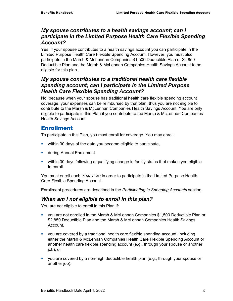#### *My spouse contributes to a health savings account; can I participate in the Limited Purpose Health Care Flexible Spending Account?*

Yes, if your spouse contributes to a health savings account you can participate in the Limited Purpose Health Care Flexible Spending Account. However, you must also participate in the Marsh & McLennan Companies \$1,500 Deductible Plan or \$2,850 Deductible Plan and the Marsh & McLennan Companies Health Savings Account to be eligible for this plan.

### *My spouse contributes to a traditional health care flexible spending account; can I participate in the Limited Purpose Health Care Flexible Spending Account?*

No, because when your spouse has traditional health care flexible spending account coverage, your expenses can be reimbursed by that plan, thus you are not eligible to contribute to the Marsh & McLennan Companies Health Savings Account. You are only eligible to participate in this Plan if you contribute to the Marsh & McLennan Companies Health Savings Account.

### **Enrollment**

To participate in this Plan, you must enroll for coverage. You may enroll:

- **•** within 30 days of the date you become eligible to participate,
- **u.** during Annual Enrollment
- within 30 days following a qualifying change in family status that makes you eligible to enroll.

You must enroll each PLAN YEAR in order to participate in the Limited Purpose Health Care Flexible Spending Account.

Enrollment procedures are described in the *Participating in Spending Accounts* section.

#### *When am I not eligible to enroll in this plan?*

You are not eligible to enroll in this Plan if:

- you are not enrolled in the Marsh & McLennan Companies \$1,500 Deductible Plan or \$2,850 Deductible Plan and the Marsh & McLennan Companies Health Savings Account,
- you are covered by a traditional health care flexible spending account, including either the Marsh & McLennan Companies Health Care Flexible Spending Account or another health care flexible spending account (e.g., through your spouse or another job), or
- you are covered by a non-high deductible health plan (e.g., through your spouse or another job).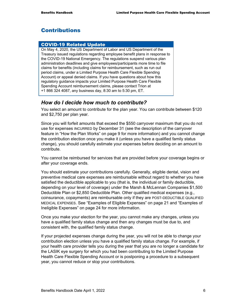# Contributions

#### COVID-19 Related Update

On May 4, 2020, the US Department of Labor and US Department of the Treasury issued regulations regarding employee benefit plans in response to the COVID-19 National Emergency. The regulations suspend various plan administration deadlines and give employees/participants more time to file claims for benefits (including claims for reimbursement, such as run out period claims, under a Limited Purpose Health Care Flexible Spending Account) or appeal denied claims. If you have questions about how this regulatory guidance impacts your Limited Purpose Health Care Flexible Spending Account reimbursement claims, please contact Trion at +1 866 324 4087, any business day, 8:30 am to 5:30 pm, ET.

#### *How do I decide how much to contribute?*

You select an amount to contribute for the plan year. You can contribute between \$120 and \$2,750 per plan year.

Since you will forfeit amounts that exceed the \$550 carryover maximum that you do not use for expenses INCURRED by December 31 (see the description of the carryover feature in "How the Plan Works" on page 9 for more information) and you cannot change the contribution election once you make it (unless you have a qualified family status change), you should carefully estimate your expenses before deciding on an amount to contribute.

You cannot be reimbursed for services that are provided before your coverage begins or after your coverage ends.

You should estimate your contributions carefully. Generally, eligible dental, vision and preventive medical care expenses are reimbursable without regard to whether you have satisfied the deductible applicable to you (that is, the individual or family deductible, depending on your level of coverage) under the Marsh & McLennan Companies \$1,500 Deductible Plan or \$2,850 Deductible Plan. Other qualified medical expenses (e.g., coinsurance, copayments) are reimbursable only if they are POST-DEDUCTIBLE QUALIFIED MEDICAL EXPENSES. See "Examples of Eligible Expenses" on page 21 and "Examples of Ineligible Expenses" on page 24 for more information.

Once you make your election for the year, you cannot make any changes, unless you have a qualified family status change and then any changes must be due to, and consistent with, the qualified family status change.

If your projected expenses change during the year, you will not be able to change your contribution election unless you have a qualified family status change. For example, if your health care provider tells you during the year that you are no longer a candidate for the LASIK eye surgery for which you had been contributing to the Limited Purpose Health Care Flexible Spending Account or is postponing a procedure to a subsequent year, you cannot reduce or stop your contributions.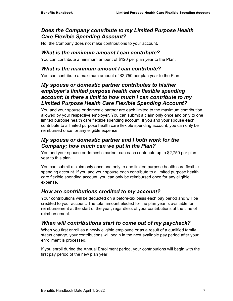### *Does the Company contribute to my Limited Purpose Health Care Flexible Spending Account?*

No, the Company does not make contributions to your account.

### *What is the minimum amount I can contribute?*

You can contribute a minimum amount of \$120 per plan year to the Plan.

#### *What is the maximum amount I can contribute?*

You can contribute a maximum amount of \$2,750 per plan year to the Plan.

### *My spouse or domestic partner contributes to his/her employer's limited purpose health care flexible spending account; is there a limit to how much I can contribute to my Limited Purpose Health Care Flexible Spending Account?*

You and your spouse or domestic partner are each limited to the maximum contribution allowed by your respective employer. You can submit a claim only once and only to one limited purpose health care flexible spending account. If you and your spouse each contribute to a limited purpose health care flexible spending account, you can only be reimbursed once for any eligible expense.

### *My spouse or domestic partner and I both work for the Company; how much can we put in the Plan?*

You and your spouse or domestic partner can each contribute up to \$2,750 per plan year to this plan.

You can submit a claim only once and only to one limited purpose health care flexible spending account. If you and your spouse each contribute to a limited purpose health care flexible spending account, you can only be reimbursed once for any eligible expense.

### *How are contributions credited to my account?*

Your contributions will be deducted on a before-tax basis each pay period and will be credited to your account. The total amount elected for the plan year is available for reimbursement at the start of the year, regardless of your contributions at the time of reimbursement.

# *When will contributions start to come out of my paycheck?*

When you first enroll as a newly eligible employee or as a result of a qualified family status change, your contributions will begin in the next available pay period after your enrollment is processed.

If you enroll during the Annual Enrollment period, your contributions will begin with the first pay period of the new plan year.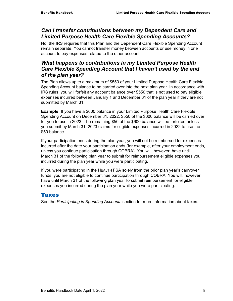### *Can I transfer contributions between my Dependent Care and Limited Purpose Health Care Flexible Spending Accounts?*

No, the IRS requires that this Plan and the Dependent Care Flexible Spending Account remain separate. You cannot transfer money between accounts or use money in one account to pay expenses related to the other account.

### *What happens to contributions in my Limited Purpose Health Care Flexible Spending Account that I haven't used by the end of the plan year?*

The Plan allows up to a maximum of \$550 of your Limited Purpose Health Care Flexible Spending Account balance to be carried over into the next plan year. In accordance with IRS rules, you will forfeit any account balance over \$550 that is not used to pay eligible expenses incurred between January 1 and December 31 of the plan year if they are not submitted by March 31.

**Example:** If you have a \$600 balance in your Limited Purpose Health Care Flexible Spending Account on December 31, 2022, \$550 of the \$600 balance will be carried over for you to use in 2023. The remaining \$50 of the \$600 balance will be forfeited unless you submit by March 31, 2023 claims for eligible expenses incurred in 2022 to use the \$50 balance.

If your participation ends during the plan year, you will not be reimbursed for expenses incurred after the date your participation ends (for example, after your employment ends, unless you continue participation through COBRA). You will, however, have until March 31 of the following plan year to submit for reimbursement eligible expenses you incurred during the plan year while you were participating.

If you were participating in the HEALTH FSA solely from the prior plan year's carryover funds, you are not eligible to continue participation through COBRA. You will, however, have until March 31 of the following plan year to submit reimbursement for eligible expenses you incurred during the plan year while you were participating.

#### Taxes

See the *Participating in Spending Accounts* section for more information about taxes.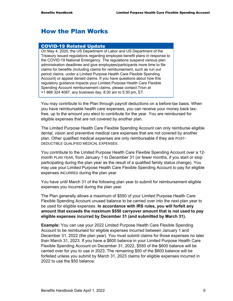# How the Plan Works

#### COVID-19 Related Update

On May 4, 2020, the US Department of Labor and US Department of the Treasury issued regulations regarding employee benefit plans in response to the COVID-19 National Emergency. The regulations suspend various plan administration deadlines and give employees/participants more time to file claims for benefits (including claims for reimbursement, such as run out period claims, under a Limited Purpose Health Care Flexible Spending Account) or appeal denied claims. If you have questions about how this regulatory guidance impacts your Limited Purpose Health Care Flexible Spending Account reimbursement claims, please contact Trion at +1 866 324 4087, any business day, 8:30 am to 5:30 pm, ET.

You may contribute to the Plan through payroll deductions on a before-tax basis. When you have reimbursable health care expenses, you can receive your money back taxfree, up to the amount you elect to contribute for the year. You are reimbursed for eligible expenses that are not covered by another plan.

The Limited Purpose Health Care Flexible Spending Account can only reimburse eligible dental, vision and preventive medical care expenses that are not covered by another plan. Other qualified medical expenses are only reimbursable if they are POST-DEDUCTIBLE QUALIFIED MEDICAL EXPENSES.

You contribute to the Limited Purpose Health Care Flexible Spending Account over a 12 month PLAN YEAR, from January 1 to December 31 (or fewer months, if you start or stop participating during the plan year as the result of a qualified family status change). You may use your Limited Purpose Health Care Flexible Spending Account to pay for eligible expenses INCURRED during the plan year.

You have until March 31 of the following plan year to submit for reimbursement eligible expenses you incurred during the plan year.

The Plan generally allows a maximum of \$550 of your Limited Purpose Health Care Flexible Spending Account unused balance to be carried over into the next plan year to be used for eligible expenses. **In accordance with IRS rules, you will forfeit any amount that exceeds the maximum \$550 carryover amount that is not used to pay eligible expenses incurred by December 31 (and submitted by March 31).** 

**Example:** You can use your 2022 Limited Purpose Health Care Flexible Spending Account to be reimbursed for eligible expenses incurred between January 1 and December 31, 2022 (the plan year). You must submit claims for those expenses no later than March 31, 2023. If you have a \$600 balance in your Limited Purpose Health Care Flexible Spending Account on December 31, 2022, \$550 of the \$600 balance will be carried over for you to use in 2023. The remaining \$50 of the \$600 balance will be forfeited unless you submit by March 31, 2023 claims for eligible expenses incurred in 2022 to use the \$50 balance.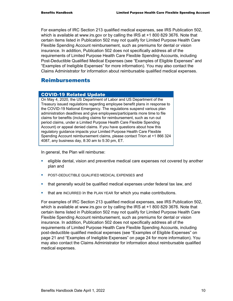For examples of IRC Section 213 qualified medical expenses, see IRS Publication 502, which is available at www.irs.gov or by calling the IRS at +1 800 829 3676. Note that certain items listed in Publication 502 may not qualify for Limited Purpose Health Care Flexible Spending Account reimbursement, such as premiums for dental or vision insurance. In addition, Publication 502 does not specifically address all of the requirements of Limited Purpose Health Care Flexible Spending Accounts, including Post-Deductible Qualified Medical Expenses (see "Examples of Eligible Expenses" and "Examples of Ineligible Expenses" for more information). You may also contact the Claims Administrator for information about reimbursable qualified medical expenses.

#### Reimbursements

#### COVID-19 Related Update

On May 4, 2020, the US Department of Labor and US Department of the Treasury issued regulations regarding employee benefit plans in response to the COVID-19 National Emergency. The regulations suspend various plan administration deadlines and give employees/participants more time to file claims for benefits (including claims for reimbursement, such as run out period claims, under a Limited Purpose Health Care Flexible Spending Account) or appeal denied claims. If you have questions about how this regulatory guidance impacts your Limited Purpose Health Care Flexible Spending Account reimbursement claims, please contact Trion at +1 866 324 4087, any business day, 8:30 am to 5:30 pm, ET.

In general, the Plan will reimburse:

- **EXE** eligible dental, vision and preventive medical care expenses not covered by another plan and
- **POST-DEDUCTIBLE QUALIFIED MEDICAL EXPENSES and**
- that generally would be qualified medical expenses under federal tax law, and
- **that are INCURRED in the PLAN YEAR for which you make contributions.**

For examples of IRC Section 213 qualified medical expenses, see IRS Publication 502, which is available at www.irs.gov or by calling the IRS at +1 800 829 3676. Note that certain items listed in Publication 502 may not qualify for Limited Purpose Health Care Flexible Spending Account reimbursement, such as premiums for dental or vision insurance. In addition, Publication 502 does not specifically address all of the requirements of Limited Purpose Health Care Flexible Spending Accounts, including post-deductible qualified medical expenses (see "Examples of Eligible Expenses" on page 21 and "Examples of Ineligible Expenses" on page 24 for more information). You may also contact the Claims Administrator for information about reimbursable qualified medical expenses.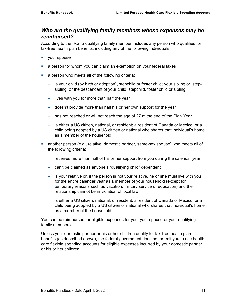#### *Who are the qualifying family members whose expenses may be reimbursed?*

According to the IRS, a qualifying family member includes any person who qualifies for tax-free health plan benefits, including any of the following individuals:

- vour spouse
- a person for whom you can claim an exemption on your federal taxes
- **a** person who meets all of the following criteria:
	- − is your child (by birth or adoption), stepchild or foster child; your sibling or, stepsibling; or the descendant of your child, stepchild, foster child or sibling
	- − lives with you for more than half the year
	- − doesn't provide more than half his or her own support for the year
	- − has not reached or will not reach the age of 27 at the end of the Plan Year
	- − is either a US citizen, national, or resident; a resident of Canada or Mexico; or a child being adopted by a US citizen or national who shares that individual's home as a member of the household
- another person (e.g., relative, domestic partner, same-sex spouse) who meets all of the following criteria:
	- − receives more than half of his or her support from you during the calendar year
	- − can't be claimed as anyone's "qualifying child" dependent
	- − is your relative or, if the person is not your relative, he or she must live with you for the entire calendar year as a member of your household (except for temporary reasons such as vacation, military service or education) and the relationship cannot be in violation of local law
	- is either a US citizen, national, or resident; a resident of Canada or Mexico; or a child being adopted by a US citizen or national who shares that individual's home as a member of the household

You can be reimbursed for eligible expenses for you, your spouse or your qualifying family members.

Unless your domestic partner or his or her children qualify for tax-free health plan benefits (as described above), the federal government does not permit you to use health care flexible spending accounts for eligible expenses incurred by your domestic partner or his or her children.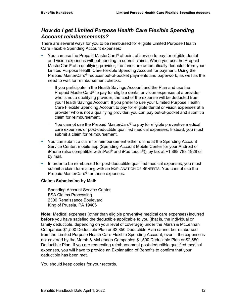#### *How do I get Limited Purpose Health Care Flexible Spending Account reimbursements?*

There are several ways for you to be reimbursed for eligible Limited Purpose Health Care Flexible Spending Account expenses:

- You can use the Prepaid MasterCard® at point of service to pay for eligible dental and vision expenses without needing to submit claims. When you use the Prepaid MasterCard<sup>®</sup> at a qualifying provider, the funds are automatically deducted from your Limited Purpose Health Care Flexible Spending Account for payment. Using the Prepaid MasterCard® reduces out-of-pocket payments and paperwork, as well as the need to wait for reimbursement checks.
	- If you participate in the Health Savings Account and the Plan and use the Prepaid MasterCard® to pay for eligible dental or vision expenses at a provider who is not a qualifying provider, the cost of the expense will be deducted from your Health Savings Account. If you prefer to use your Limited Purpose Health Care Flexible Spending Account to pay for eligible dental or vision expenses at a provider who is not a qualifying provider, you can pay out-of-pocket and submit a claim for reimbursement.
	- − You cannot use the Prepaid MasterCard<sup>®</sup> to pay for eligible preventive medical care expenses or post-deductible qualified medical expenses. Instead, you must submit a claim for reimbursement.
- You can submit a claim for reimbursement either online at the Spending Account Service Center, mobile app (Spending Account Mobile Center for your Android or iPhone (also compatible with iPad® and iPod touch®)), by fax at +1 888 788 1928 or by mail.
- In order to be reimbursed for post-deductible qualified medical expenses, you must submit a claim form along with an EXPLANATION OF BENEFITS. You cannot use the Prepaid MasterCard® for these expenses.

#### **Claims Submission by Mail:**

Spending Account Service Center FSA Claims Processing 2300 Renaissance Boulevard King of Prussia, PA 19406

**Note:** Medical expenses (other than eligible preventive medical care expenses) incurred **before** you have satisfied the deductible applicable to you (that is, the individual or family deductible, depending on your level of coverage) under the Marsh & McLennan Companies \$1,500 Deductible Plan or \$2,850 Deductible Plan cannot be reimbursed from the Limited Purpose Health Care Flexible Spending Account, even if the expense is not covered by the Marsh & McLennan Companies \$1,500 Deductible Plan or \$2,850 Deductible Plan. If you are requesting reimbursement post-deductible qualified medical expenses, you will have to provide an Explanation of Benefits to confirm that your deductible has been met.

You should keep copies for your records.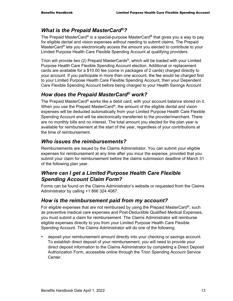#### *What is the Prepaid MasterCard®?*

The Prepaid MasterCard® is a special-purpose MasterCard**®** that gives you a way to pay for eligible dental and vision expenses without needing to submit claims. The Prepaid MasterCard® lets you electronically access the amount you elected to contribute to your Limited Purpose Health Care Flexible Spending Account at qualifying providers.

Trion will provide two (2) Prepaid MasterCards®, which will be loaded with your Limited Purpose Health Care Flexible Spending Account election. Additional or replacement cards are available for a \$10.00 fee (come in packages of 2 cards) charged directly to your account. If you participate in more than one account, the fee would be charged first to your Limited Purpose Health Care Flexible Spending Account, then your Dependent Care Flexible Spending Account before being charged to your Health Savings Account

#### *How does the Prepaid MasterCard® work?*

The Prepaid MasterCard® works like a debit card, with your account balance stored on it. When you use the Prepaid MasterCard®, the amount of the eligible dental and vision expenses will be deducted automatically from your Limited Purpose Health Care Flexible Spending Account and will be electronically transferred to the provider/merchant. There are no monthly bills and no interest. The total amount you elected for the plan year is available for reimbursement at the start of the year, regardless of your contributions at the time of reimbursement.

#### *Who issues the reimbursements?*

Reimbursements are issued by the Claims Administrator. You can submit your eligible expenses for reimbursement at any time after you incur the expense, provided that you submit your claim for reimbursement before the claims submission deadline of March 31 of the following plan year.

### *Where can I get a Limited Purpose Health Care Flexible Spending Account Claim Form?*

Forms can be found on the Claims Administrator's website or requested from the Claims Administrator by calling +1 866 324 4087.

#### *How is the reimbursement paid from my account?*

For eligible expenses that are not reimbursed by using the Prepaid MasterCard®, such as preventive medical care expenses and Post-Deductible Qualified Medical Expenses, you must submit a claim for reimbursement. The Claims Administrator will reimburse eligible expenses directly to you from your Limited Purpose Health Care Flexible Spending Account. The Claims Administrator will do one of the following:

 deposit your reimbursement amount directly into your checking or savings account. To establish direct deposit of your reimbursement, you will need to provide your direct deposit information to the Claims Administrator by completing a Direct Deposit Authorization Form, accessible online through the Trion Spending Account Service Center.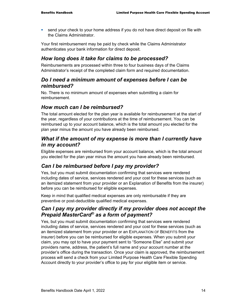send your check to your home address if you do not have direct deposit on file with the Claims Administrator.

Your first reimbursement may be paid by check while the Claims Administrator authenticates your bank information for direct deposit.

#### *How long does it take for claims to be processed?*

Reimbursements are processed within three to four business days of the Claims Administrator's receipt of the completed claim form and required documentation.

#### *Do I need a minimum amount of expenses before I can be reimbursed?*

No. There is no minimum amount of expenses when submitting a claim for reimbursement.

#### *How much can I be reimbursed?*

The total amount elected for the plan year is available for reimbursement at the start of the year, regardless of your contributions at the time of reimbursement. You can be reimbursed up to your account balance, which is the total amount you elected for the plan year minus the amount you have already been reimbursed.

#### *What if the amount of my expense is more than I currently have in my account?*

Eligible expenses are reimbursed from your account balance, which is the total amount you elected for the plan year minus the amount you have already been reimbursed.

### *Can I be reimbursed before I pay my provider?*

Yes, but you must submit documentation confirming that services were rendered including dates of service, services rendered and your cost for these services (such as an itemized statement from your provider or an Explanation of Benefits from the insurer) before you can be reimbursed for eligible expenses.

Keep in mind that qualified medical expenses are only reimbursable if they are preventive or post-deductible qualified medical expenses.

#### *Can I pay my provider directly if my provider does not accept the Prepaid MasterCard® as a form of payment?*

Yes, but you must submit documentation confirming that services were rendered including dates of service, services rendered and your cost for these services (such as an itemized statement from your provider or an EXPLANATION OF BENEFITS from the insurer) before you can be reimbursed for eligible expenses. When you submit your claim, you may opt to have your payment sent to "Someone Else" and submit your providers name, address, the patient's full name and your account number at the provider's office during the transaction. Once your claim is approved, the reimbursement process will send a check from your Limited Purpose Health Care Flexible Spending Account directly to your provider's office to pay for your eligible item or service.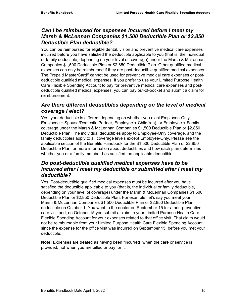#### *Can I be reimbursed for expenses incurred before I meet my Marsh & McLennan Companies \$1,500 Deductible Plan or \$2,850 Deductible Plan deductible?*

You can be reimbursed for eligible dental, vision and preventive medical care expenses incurred before you have satisfied the deductible applicable to you (that is, the individual or family deductible, depending on your level of coverage) under the Marsh & McLennan Companies \$1,500 Deductible Plan or \$2,850 Deductible Plan. Other qualified medical expenses can only be reimbursed if they are post-deductible qualified medical expenses. The Prepaid MasterCard® cannot be used for preventive medical care expenses or postdeductible qualified medical expenses. If you prefer to use your Limited Purpose Health Care Flexible Spending Account to pay for preventive medical care expenses and postdeductible qualified medical expenses, you can pay out-of-pocket and submit a claim for reimbursement.

#### *Are there different deductibles depending on the level of medical coverage I elect?*

Yes, your deductible is different depending on whether you elect Employee-Only, Employee + Spouse/Domestic Partner, Employee + Child(ren), or Employee + Family coverage under the Marsh & McLennan Companies \$1,500 Deductible Plan or \$2,850 Deductible Plan. The individual deductibles apply to Employee-Only coverage, and the family deductibles apply to all coverage levels except Employee-Only. Please see the applicable section of the Benefits Handbook for the \$1,500 Deductible Plan or \$2,850 Deductible Plan for more information about deductibles and how each plan determines whether you or a family member has satisfied the applicable deductible.

### *Do post-deductible qualified medical expenses have to be incurred after I meet my deductible or submitted after I meet my deductible?*

Yes. Post-deductible qualified medical expenses must be incurred after you have satisfied the deductible applicable to you (that is, the individual or family deductible, depending on your level of coverage) under the Marsh & McLennan Companies \$1,500 Deductible Plan or \$2,850 Deductible Plan. For example, let's say you meet your Marsh & McLennan Companies \$1,500 Deductible Plan or \$2,850 Deductible Plan deductible on October 1. You went to the doctor on September 15 for a non-preventive care visit and, on October 15 you submit a claim to your Limited Purpose Health Care Flexible Spending Account for your expenses related to that office visit. That claim would not be reimbursable from your Limited Purpose Health Care Flexible Spending Account since the expense for the office visit was incurred on September 15, before you met your deductible.

**Note:** Expenses are treated as having been "incurred" when the care or service is provided, not when you are billed or pay for it.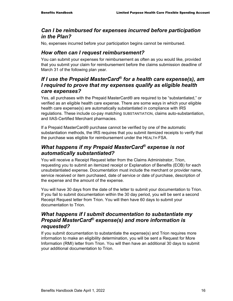#### *Can I be reimbursed for expenses incurred before participation in the Plan?*

No, expenses incurred before your participation begins cannot be reimbursed.

### *How often can I request reimbursement?*

You can submit your expenses for reimbursement as often as you would like, provided that you submit your claim for reimbursement before the claims submission deadline of March 31 of the following plan year.

#### *If I use the Prepaid MasterCard® for a health care expense(s), am I required to prove that my expenses qualify as eligible health care expenses?*

Yes, all purchases with the Prepaid MasterCard® are required to be "substantiated," or verified as an eligible health care expense. There are some ways in which your eligible health care expense(s) are automatically substantiated in compliance with IRS regulations. These include co-pay matching SUBSTANTIATION, claims auto-substantiation, and IIAS-Certified Merchant pharmacies.

If a Prepaid MasterCard® purchase cannot be verified by one of the automatic substantiation methods, the IRS requires that you submit itemized receipts to verify that the purchase was eligible for reimbursement under the HEALTH FSA.

## *What happens if my Prepaid MasterCard® expense is not automatically substantiated?*

You will receive a Receipt Request letter from the Claims Administrator, Trion, requesting you to submit an itemized receipt or Explanation of Benefits (EOB) for each unsubstantiated expense. Documentation must include the merchant or provider name, service received or item purchased, date of service or date of purchase, description of the expense and the amount of the expense.

You will have 30 days from the date of the letter to submit your documentation to Trion. If you fail to submit documentation within the 30 day period, you will be sent a second Receipt Request letter from Trion. You will then have 60 days to submit your documentation to Trion.

### *What happens if I submit documentation to substantiate my Prepaid MasterCard® expense(s) and more information is requested?*

If you submit documentation to substantiate the expense(s) and Trion requires more information to make an eligibility determination, you will be sent a Request for More Information (RMI) letter from Trion. You will then have an additional 30 days to submit your additional documentation to Trion.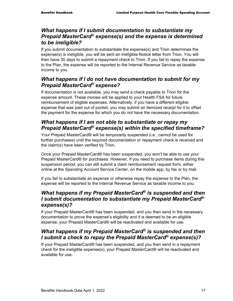### *What happens if I submit documentation to substantiate my Prepaid MasterCard® expense(s) and the expense is determined to be ineligible?*

If you submit documentation to substantiate the expense(s) and Trion determines the expense(s) is ineligible, you will be sent an Ineligible Notice letter from Trion. You will then have 30 days to submit a repayment check to Trion. If you fail to repay the expense to the Plan, the expense will be reported to the Internal Revenue Service as taxable income to you.

# *What happens if I do not have documentation to submit for my Prepaid MasterCard® expense?*

If documentation is not available, you may send a check payable to Trion for the expense amount. These monies will be applied to your Health FSA for future reimbursement of eligible expenses. Alternatively, if you have a different eligible expense that was paid out of pocket, you may submit an itemized receipt for it to offset the payment for the expense for which you do not have the necessary documentation.

## *What happens if I am not able to substantiate or repay my Prepaid MasterCard® expense(s) within the specified timeframe?*

Your Prepaid MasterCard® will be temporarily suspended (i.e., cannot be used for further purchases) until the required documentation or repayment check is received and the claim(s) have been verified by Trion.

Once your Prepaid MasterCard® has been suspended, you won't be able to use your Prepaid MasterCard® for purchases. However, if you need to purchase items during this suspension period, you can still submit a claim reimbursement request form, either online at the Spending Account Service Center, on the mobile app, by fax or by mail.

If you fail to substantiate an expense or otherwise repay the expense to the Plan, the expense will be reported to the Internal Revenue Service as taxable income to you.

### *What happens if my Prepaid MasterCard® is suspended and then I submit documentation to substantiate my Prepaid MasterCard® expense(s)?*

If your Prepaid MasterCard® has been suspended, and you then send in the necessary documentation to prove the expense's eligibility and it is deemed to be an eligible expense, your Prepaid MasterCard® will be reactivated and available for use.

# *What happens if my Prepaid MasterCard® is suspended and then I submit a check to repay the Prepaid MasterCard® expense(s)?*

If your Prepaid MasterCard® has been suspended, and you then send in a repayment check for the ineligible expense(s), your Prepaid MasterCard® will be reactivated and available for use.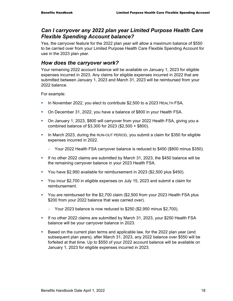#### *Can I carryover any 2022 plan year Limited Purpose Health Care Flexible Spending Account balance?*

Yes, the carryover feature for the 2022 plan year will allow a maximum balance of \$550 to be carried over from your Limited Purpose Health Care Flexible Spending Account for use in the 2023 plan year.

#### *How does the carryover work?*

Your remaining 2022 account balance will be available on January 1, 2023 for eligible expenses incurred in 2023. Any claims for eligible expenses incurred in 2022 that are submitted between January 1, 2023 and March 31, 2023 will be reimbursed from your 2022 balance.

For example:

- In November 2022, you elect to contribute \$2,500 to a 2023 HEALTH FSA.
- On December 31, 2022, you have a balance of \$800 in your Health FSA.
- On January 1, 2023, \$800 will carryover from your 2022 Health FSA, giving you a combined balance of \$3,300 for 2023 (\$2,500 + \$800).
- In March 2023, during the RUN-OUT PERIOD, you submit a claim for \$350 for eligible expenses incurred in 2022.
	- − Your 2022 Health FSA carryover balance is reduced to \$450 (\$800 minus \$350).
- If no other 2022 claims are submitted by March 31, 2023, the \$450 balance will be the remaining carryover balance in your 2023 Health FSA.
- You have \$2,950 available for reimbursement in 2023 (\$2,500 plus \$450).
- You incur \$2,700 in eligible expenses on July 15, 2023 and submit a claim for reimbursement.
- You are reimbursed for the \$2,700 claim (\$2,500 from your 2023 Health FSA plus \$200 from your 2022 balance that was carried over).
	- − Your 2023 balance is now reduced to \$250 (\$2,950 minus \$2,700).
- If no other 2022 claims are submitted by March 31, 2023, your \$250 Health FSA balance will be your carryover balance in 2023.
- Based on the current plan terms and applicable law, for the 2022 plan year (and subsequent plan years), after March 31, 2023, any 2022 balance over \$550 will be forfeited at that time. Up to \$550 of your 2022 account balance will be available on January 1, 2023 for eligible expenses incurred in 2023.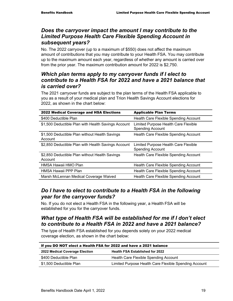### *Does the carryover impact the amount I may contribute to the Limited Purpose Health Care Flexible Spending Account in subsequent years?*

No. The 2022 carryover (up to a maximum of \$550) does not affect the maximum amount of contributions that you may contribute to your Health FSA. You may contribute up to the maximum amount each year, regardless of whether any amount is carried over from the prior year. The maximum contribution amount for 2022 is \$2,750.

### *Which plan terms apply to my carryover funds if I elect to contribute to a Health FSA for 2022 and have a 2021 balance that is carried over?*

The 2021 carryover funds are subject to the plan terms of the Health FSA applicable to you as a result of your medical plan and Trion Health Savings Account elections for 2022, as shown in the chart below:

| 2022 Medical Coverage and HSA Elections                   | <b>Applicable Plan Terms</b>                                    |
|-----------------------------------------------------------|-----------------------------------------------------------------|
| \$400 Deductible Plan                                     | Health Care Flexible Spending Account                           |
| \$1,500 Deductible Plan with Health Savings Account       | Limited Purpose Health Care Flexible<br><b>Spending Account</b> |
| \$1,500 Deductible Plan without Health Savings<br>Account | Health Care Flexible Spending Account                           |
| \$2,850 Deductible Plan with Health Savings Account       | Limited Purpose Health Care Flexible<br><b>Spending Account</b> |
| \$2,850 Deductible Plan without Health Savings<br>Account | Health Care Flexible Spending Account                           |
| HMSA Hawaii HMO Plan                                      | Health Care Flexible Spending Account                           |
| HMSA Hawaii PPP Plan                                      | Health Care Flexible Spending Account                           |
| Marsh McLennan Medical Coverage Waived                    | Health Care Flexible Spending Account                           |

### *Do I have to elect to contribute to a Health FSA in the following year for the carryover funds?*

No. If you do not elect a Health FSA in the following year, a Health FSA will be established for you for the carryover funds.

# *What type of Health FSA will be established for me if I don't elect to contribute to a Health FSA in 2022 and have a 2021 balance?*

The type of Health FSA established for you depends solely on your 2022 medical coverage election, as shown in the chart below:

| If you DO NOT elect a Health FSA for 2022 and have a 2021 balance |                                                       |  |  |
|-------------------------------------------------------------------|-------------------------------------------------------|--|--|
| 2022 Medical Coverage Election                                    | <b>Health FSA Established for 2022</b>                |  |  |
| \$400 Deductible Plan                                             | Health Care Flexible Spending Account                 |  |  |
| \$1,500 Deductible Plan                                           | Limited Purpose Health Care Flexible Spending Account |  |  |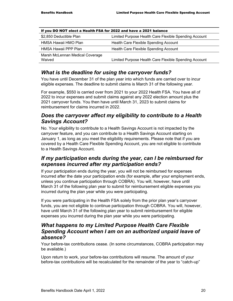| If you DO NOT elect a Health FSA for 2022 and have a 2021 balance |                                                       |  |
|-------------------------------------------------------------------|-------------------------------------------------------|--|
| \$2,850 Deductible Plan                                           | Limited Purpose Health Care Flexible Spending Account |  |
| HMSA Hawaii HMO Plan                                              | Health Care Flexible Spending Account                 |  |
| HMSA Hawaii PPP Plan                                              | Health Care Flexible Spending Account                 |  |
| Marsh McLennan Medical Coverage<br>Waived                         | Limited Purpose Health Care Flexible Spending Account |  |

### *What is the deadline for using the carryover funds?*

You have until December 31 of the plan year into which funds are carried over to incur eligible expenses. The deadline to submit claims is March 31 of the following year.

For example, \$550 is carried over from 2021 to your 2022 Health FSA. You have all of 2022 to incur expenses and submit claims against any 2022 election amount plus the 2021 carryover funds. You then have until March 31, 2023 to submit claims for reimbursement for claims incurred in 2022.

#### *Does the carryover affect my eligibility to contribute to a Health Savings Account?*

No. Your eligibility to contribute to a Health Savings Account is not impacted by the carryover feature, and you can contribute to a Health Savings Account starting on January 1, as long as you meet the eligibility requirements. Please note that if you are covered by a Health Care Flexible Spending Account, you are not eligible to contribute to a Health Savings Account.

#### *If my participation ends during the year, can I be reimbursed for expenses incurred after my participation ends?*

If your participation ends during the year, you will not be reimbursed for expenses incurred after the date your participation ends (for example, after your employment ends, unless you continue participation through COBRA). You will, however, have until March 31 of the following plan year to submit for reimbursement eligible expenses you incurred during the plan year while you were participating.

If you were participating in the Health FSA solely from the prior plan year's carryover funds, you are not eligible to continue participation through COBRA. You will, however, have until March 31 of the following plan year to submit reimbursement for eligible expenses you incurred during the plan year while you were participating.

#### *What happens to my Limited Purpose Health Care Flexible Spending Account when I am on an authorized unpaid leave of absence?*

Your before-tax contributions cease. (In some circumstances, COBRA participation may be available.)

Upon return to work, your before-tax contributions will resume. The amount of your before-tax contributions will be recalculated for the remainder of the year to "catch-up"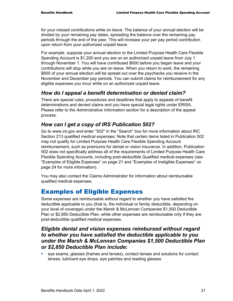for your missed contributions while on leave. The balance of your annual election will be divided by your remaining pay dates, spreading the balance over the remaining pay periods through the end of the year. This will increase your per pay period contribution upon return from your authorized unpaid leave.

For example, suppose your annual election to the Limited Purpose Health Care Flexible Spending Account is \$1,200 and you are on an authorized unpaid leave from July 1 through November 1. You will have contributed \$600 before you began leave and your contributions will stop while you are on leave. When you return to work, the remaining \$600 of your annual election will be spread out over the paychecks you receive in the November and December pay periods. You can submit claims for reimbursement for any eligible expenses you incur while on an authorized unpaid leave.

#### *How do I appeal a benefit determination or denied claim?*

There are special rules, procedures and deadlines that apply to appeals of benefit determinations and denied claims and you have special legal rights under ERISA. Please refer to the *Administrative Information* section for a description of the appeal process.

#### *How can I get a copy of IRS Publication 502?*

Go to www.irs.gov and enter "502" in the "Search" box for more information about IRC Section 213 qualified medical expenses. Note that certain items listed in Publication 502 may not qualify for Limited Purpose Health Care Flexible Spending Account reimbursement, such as premiums for dental or vision insurance. In addition, Publication 502 does not specifically address all of the requirements of Limited Purpose Health Care Flexible Spending Accounts, including post-deductible Qualified medical expenses (see "Examples of Eligible Expenses" on page 21 and "Examples of Ineligible Expenses" on page 24 for more information).

You may also contact the Claims Administrator for information about reimbursable qualified medical expenses.

# Examples of Eligible Expenses

Some expenses are reimbursable without regard to whether you have satisfied the deductible applicable to you (that is, the individual or family deductible, depending on your level of coverage) under the Marsh & McLennan Companies \$1,500 Deductible Plan or \$2,850 Deductible Plan, while other expenses are reimbursable only if they are post-deductible qualified medical expenses.

#### *Eligible dental and vision expenses reimbursed without regard to whether you have satisfied the deductible applicable to you under the Marsh & McLennan Companies \$1,500 Deductible Plan or \$2,850 Deductible Plan include:*

 eye exams, glasses (frames and lenses), contact lenses and solutions for contact lenses, lubricant eye drops, eye patches and reading glasses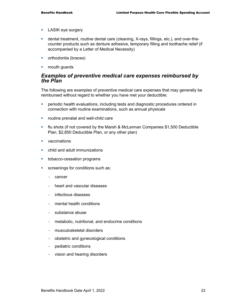- **LASIK eye surgery**
- dental treatment, routine dental care (cleaning, X-rays, fillings, etc.), and over-thecounter products such as denture adhesive, temporary filling and toothache relief (if accompanied by a Letter of Medical Necessity)
- **•** orthodontia (braces)
- **nouth guards**

#### *Examples of preventive medical care expenses reimbursed by the Plan*

The following are examples of preventive medical care expenses that may generally be reimbursed without regard to whether you have met your deductible:

- **Periodic health evaluations, including tests and diagnostic procedures ordered in** connection with routine examinations, such as annual physicals
- **•** routine prenatal and well-child care
- flu shots (if not covered by the Marsh & McLennan Companies \$1,500 Deductible Plan, \$2,850 Deductible Plan, or any other plan)
- **vaccinations**
- **E** child and adult immunizations
- **tobacco-cessation programs**
- **screenings for conditions such as:** 
	- − cancer
	- − heart and vascular diseases
	- − infectious diseases
	- − mental health conditions
	- − substance abuse
	- − metabolic, nutritional, and endocrine conditions
	- − musculoskeletal disorders
	- − obstetric and gynecological conditions
	- − pediatric conditions
	- − vision and hearing disorders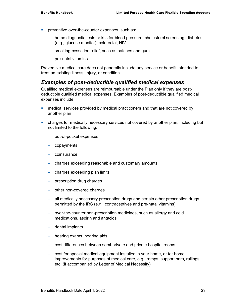- **•** preventive over-the-counter expenses, such as:
	- − home diagnostic tests or kits for blood pressure, cholesterol screening, diabetes (e.g., glucose monitor), colorectal, HIV
	- − smoking-cessation relief, such as patches and gum
	- − pre-natal vitamins.

Preventive medical care does not generally include any service or benefit intended to treat an existing illness, injury, or condition.

#### *Examples of post-deductible qualified medical expenses*

Qualified medical expenses are reimbursable under the Plan only if they are postdeductible qualified medical expenses. Examples of post-deductible qualified medical expenses include:

- medical services provided by medical practitioners and that are not covered by another plan
- charges for medically necessary services not covered by another plan, including but not limited to the following:
	- − out-of-pocket expenses
	- − copayments
	- − coinsurance
	- − charges exceeding reasonable and customary amounts
	- − charges exceeding plan limits
	- − prescription drug charges
	- − other non-covered charges
	- − all medically necessary prescription drugs and certain other prescription drugs permitted by the IRS (e.g., contraceptives and pre-natal vitamins)
	- − over-the-counter non-prescription medicines, such as allergy and cold medications, aspirin and antacids
	- − dental implants
	- − hearing exams, hearing aids
	- − cost differences between semi-private and private hospital rooms
	- − cost for special medical equipment installed in your home, or for home improvements for purposes of medical care, e.g., ramps, support bars, railings, etc. (if accompanied by Letter of Medical Necessity)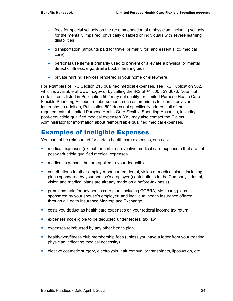- − fees for special schools on the recommendation of a physician, including schools for the mentally impaired, physically disabled or individuals with severe learning disabilities
- − transportation (amounts paid for travel primarily for, and essential to, medical care)
- − personal use items if primarily used to prevent or alleviate a physical or mental defect or illness, e.g., Braille books, hearing aids
- − private nursing services rendered in your home or elsewhere.

For examples of IRC Section 213 qualified medical expenses, see IRS Publication 502, which is available at www.irs.gov or by calling the IRS at +1 800 829 3676. Note that certain items listed in Publication 502 may not qualify for Limited Purpose Health Care Flexible Spending Account reimbursement, such as premiums for dental or vision insurance. In addition, Publication 502 does not specifically address all of the requirements of Limited Purpose Health Care Flexible Spending Accounts, including post-deductible qualified medical expenses. You may also contact the Claims Administrator for information about reimbursable qualified medical expenses.

# Examples of Ineligible Expenses

You cannot be reimbursed for certain health care expenses, such as:

- medical expenses (except for certain preventive medical care expenses) that are not post-deductible qualified medical expenses
- **EXP** medical expenses that are applied to your deductible
- contributions to other employer-sponsored dental, vision or medical plans, including plans sponsored by your spouse's employer (contributions to the Company's dental, vision and medical plans are already made on a before-tax basis)
- premiums paid for any health care plan, including COBRA, Medicare, plans sponsored by your spouse's employer, and individual health insurance offered through a Health Insurance Marketplace Exchange
- costs you deduct as health care expenses on your federal income tax return
- **EXPENSES FRIGGS** is expenses not eligible to be deducted under federal tax law
- **EXPENSES FRIMBURSED BY ANY OTHER HEALTH PLANS**
- health/gym/fitness club membership fees (unless you have a letter from your treating physician indicating medical necessity)
- elective cosmetic surgery, electrolysis, hair removal or transplants, liposuction, etc.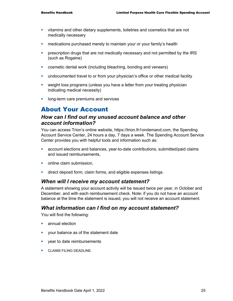- vitamins and other dietary supplements, toiletries and cosmetics that are not medically necessary
- **EXT** medications purchased merely to maintain your or your family's health
- **Permitted by the IRS prescription drugs that are not medically necessary and not permitted by the IRS** (such as Rogaine)
- **EXEDENT** cosmetic dental work (including bleaching, bonding and veneers)
- undocumented travel to or from your physician's office or other medical facility
- weight loss programs (unless you have a letter from your treating physician indicating medical necessity)
- **IDOM** long-term care premiums and services

# About Your Account

#### *How can I find out my unused account balance and other account information?*

You can access Trion's online website, https://trion.lh1ondemand.com, the Spending Account Service Center, 24 hours a day, 7 days a week. The Spending Account Service Center provides you with helpful tools and information such as:

- account elections and balances, year-to-date contributions, submitted/paid claims and issued reimbursements,
- **•** online claim submission,
- **direct deposit form, claim forms, and eligible expenses listings.**

#### *When will I receive my account statement?*

A statement showing your account activity will be issued twice per year, in October and December, and with each reimbursement check. Note: if you do not have an account balance at the time the statement is issued, you will not receive an account statement.

#### *What information can I find on my account statement?*

You will find the following:

- **E** annual election
- **v** your balance as of the statement date
- **vear to date reimbursements**
- **CLAIMS FILING DEADLINE.**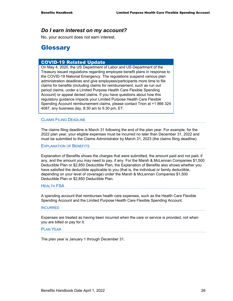#### *Do I earn interest on my account?*

No, your account does not earn interest.

# **Glossary**

#### COVID-19 Related Update

On May 4, 2020, the US Department of Labor and US Department of the Treasury issued regulations regarding employee benefit plans in response to the COVID-19 National Emergency. The regulations suspend various plan administration deadlines and give employees/participants more time to file claims for benefits (including claims for reimbursement, such as run out period claims, under a Limited Purpose Health Care Flexible Spending Account) or appeal denied claims. If you have questions about how this regulatory guidance impacts your Limited Purpose Health Care Flexible Spending Account reimbursement claims, please contact Trion at +1 866 324 4087, any business day, 8:30 am to 5:30 pm, ET.

#### CLAIMS FILING DEADLINE

The claims filing deadline is March 31 following the end of the plan year. For example, for the 2022 plan year, your eligible expenses must be incurred no later than December 31, 2022 and must be submitted to the Claims Administrator by March 31, 2023 (the claims filing deadline).

EXPLANATION OF BENEFITS

Explanation of Benefits shows the charges that were submitted, the amount paid and not paid, if any, and the amount you may need to pay, if any. For the Marsh & McLennan Companies \$1,500 Deductible Plan or \$2,850 Deductible Plan, the Explanation of Benefits also shows whether you have satisfied the deductible applicable to you (that is, the individual or family deductible, depending on your level of coverage) under the Marsh & McLennan Companies \$1,500 Deductible Plan or \$2,850 Deductible Plan.

#### **HEALTH FSA**

A spending account that reimburses health care expenses, such as the Health Care Flexible Spending Account and the Limited Purpose Health Care Flexible Spending Account.

#### **INCURRED**

Expenses are treated as having been incurred when the care or service is provided, not when you are billed or pay for it.

#### PLAN YEAR

The plan year is January 1 through December 31.